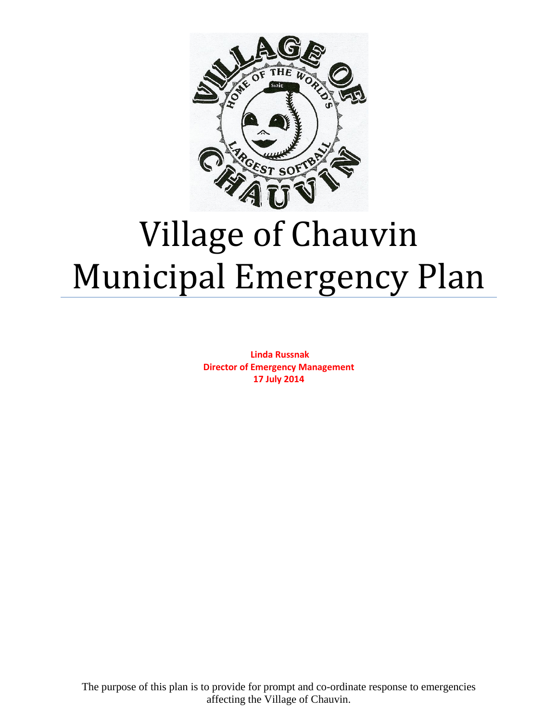

# Village of Chauvin Municipal Emergency Plan

**Linda Russnak Director of Emergency Management 17 July 2014**

The purpose of this plan is to provide for prompt and co-ordinate response to emergencies affecting the Village of Chauvin.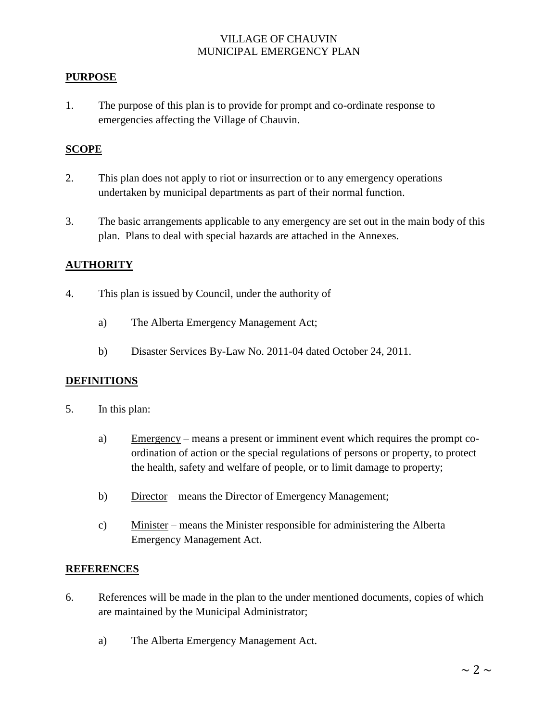#### **PURPOSE**

1. The purpose of this plan is to provide for prompt and co-ordinate response to emergencies affecting the Village of Chauvin.

#### **SCOPE**

- 2. This plan does not apply to riot or insurrection or to any emergency operations undertaken by municipal departments as part of their normal function.
- 3. The basic arrangements applicable to any emergency are set out in the main body of this plan. Plans to deal with special hazards are attached in the Annexes.

#### **AUTHORITY**

- 4. This plan is issued by Council, under the authority of
	- a) The Alberta Emergency Management Act;
	- b) Disaster Services By-Law No. 2011-04 dated October 24, 2011.

#### **DEFINITIONS**

- 5. In this plan:
	- a) Emergency means a present or imminent event which requires the prompt coordination of action or the special regulations of persons or property, to protect the health, safety and welfare of people, or to limit damage to property;
	- b) Director means the Director of Emergency Management;
	- c) Minister means the Minister responsible for administering the Alberta Emergency Management Act.

#### **REFERENCES**

- 6. References will be made in the plan to the under mentioned documents, copies of which are maintained by the Municipal Administrator;
	- a) The Alberta Emergency Management Act.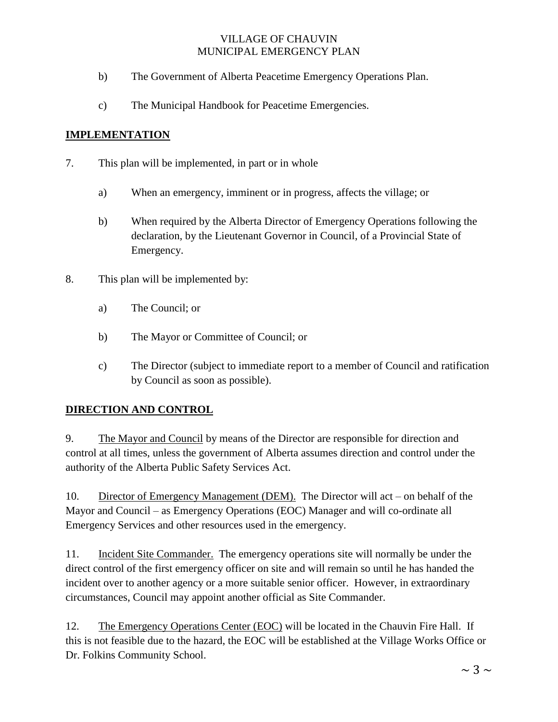- b) The Government of Alberta Peacetime Emergency Operations Plan.
- c) The Municipal Handbook for Peacetime Emergencies.

# **IMPLEMENTATION**

- 7. This plan will be implemented, in part or in whole
	- a) When an emergency, imminent or in progress, affects the village; or
	- b) When required by the Alberta Director of Emergency Operations following the declaration, by the Lieutenant Governor in Council, of a Provincial State of Emergency.
- 8. This plan will be implemented by:
	- a) The Council; or
	- b) The Mayor or Committee of Council; or
	- c) The Director (subject to immediate report to a member of Council and ratification by Council as soon as possible).

# **DIRECTION AND CONTROL**

9. The Mayor and Council by means of the Director are responsible for direction and control at all times, unless the government of Alberta assumes direction and control under the authority of the Alberta Public Safety Services Act.

10. Director of Emergency Management (DEM). The Director will act – on behalf of the Mayor and Council – as Emergency Operations (EOC) Manager and will co-ordinate all Emergency Services and other resources used in the emergency.

11. Incident Site Commander. The emergency operations site will normally be under the direct control of the first emergency officer on site and will remain so until he has handed the incident over to another agency or a more suitable senior officer. However, in extraordinary circumstances, Council may appoint another official as Site Commander.

12. The Emergency Operations Center (EOC) will be located in the Chauvin Fire Hall. If this is not feasible due to the hazard, the EOC will be established at the Village Works Office or Dr. Folkins Community School.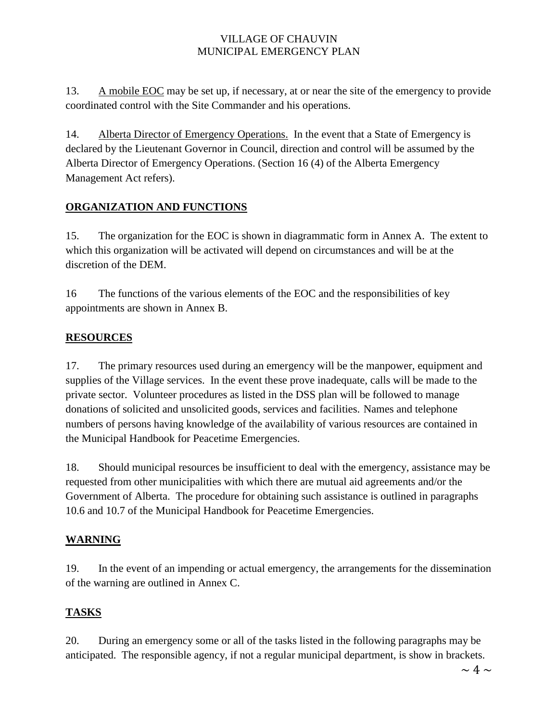13. A mobile EOC may be set up, if necessary, at or near the site of the emergency to provide coordinated control with the Site Commander and his operations.

14. Alberta Director of Emergency Operations. In the event that a State of Emergency is declared by the Lieutenant Governor in Council, direction and control will be assumed by the Alberta Director of Emergency Operations. (Section 16 (4) of the Alberta Emergency Management Act refers).

# **ORGANIZATION AND FUNCTIONS**

15. The organization for the EOC is shown in diagrammatic form in Annex A. The extent to which this organization will be activated will depend on circumstances and will be at the discretion of the DEM.

16 The functions of the various elements of the EOC and the responsibilities of key appointments are shown in Annex B.

# **RESOURCES**

17. The primary resources used during an emergency will be the manpower, equipment and supplies of the Village services. In the event these prove inadequate, calls will be made to the private sector. Volunteer procedures as listed in the DSS plan will be followed to manage donations of solicited and unsolicited goods, services and facilities. Names and telephone numbers of persons having knowledge of the availability of various resources are contained in the Municipal Handbook for Peacetime Emergencies.

18. Should municipal resources be insufficient to deal with the emergency, assistance may be requested from other municipalities with which there are mutual aid agreements and/or the Government of Alberta. The procedure for obtaining such assistance is outlined in paragraphs 10.6 and 10.7 of the Municipal Handbook for Peacetime Emergencies.

# **WARNING**

19. In the event of an impending or actual emergency, the arrangements for the dissemination of the warning are outlined in Annex C.

# **TASKS**

20. During an emergency some or all of the tasks listed in the following paragraphs may be anticipated. The responsible agency, if not a regular municipal department, is show in brackets.

 $\sim 4 \sim$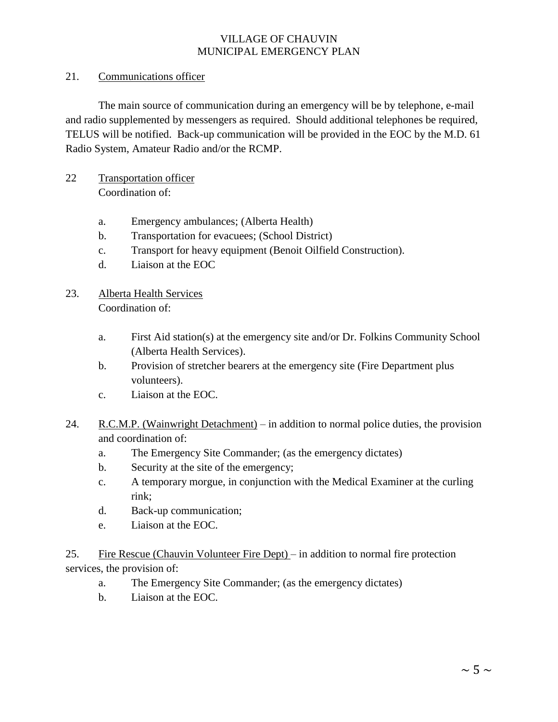#### 21. Communications officer

The main source of communication during an emergency will be by telephone, e-mail and radio supplemented by messengers as required. Should additional telephones be required, TELUS will be notified. Back-up communication will be provided in the EOC by the M.D. 61 Radio System, Amateur Radio and/or the RCMP.

- 22 Transportation officer Coordination of:
	- a. Emergency ambulances; (Alberta Health)
	- b. Transportation for evacuees; (School District)
	- c. Transport for heavy equipment (Benoit Oilfield Construction).
	- d. Liaison at the EOC
- 23. Alberta Health Services Coordination of:
	- a. First Aid station(s) at the emergency site and/or Dr. Folkins Community School (Alberta Health Services).
	- b. Provision of stretcher bearers at the emergency site (Fire Department plus volunteers).
	- c. Liaison at the EOC.
- 24. R.C.M.P. (Wainwright Detachment) in addition to normal police duties, the provision and coordination of:
	- a. The Emergency Site Commander; (as the emergency dictates)
	- b. Security at the site of the emergency;
	- c. A temporary morgue, in conjunction with the Medical Examiner at the curling rink;
	- d. Back-up communication;
	- e. Liaison at the EOC.

25. Fire Rescue (Chauvin Volunteer Fire Dept) – in addition to normal fire protection services, the provision of:

- a. The Emergency Site Commander; (as the emergency dictates)
- b. Liaison at the EOC.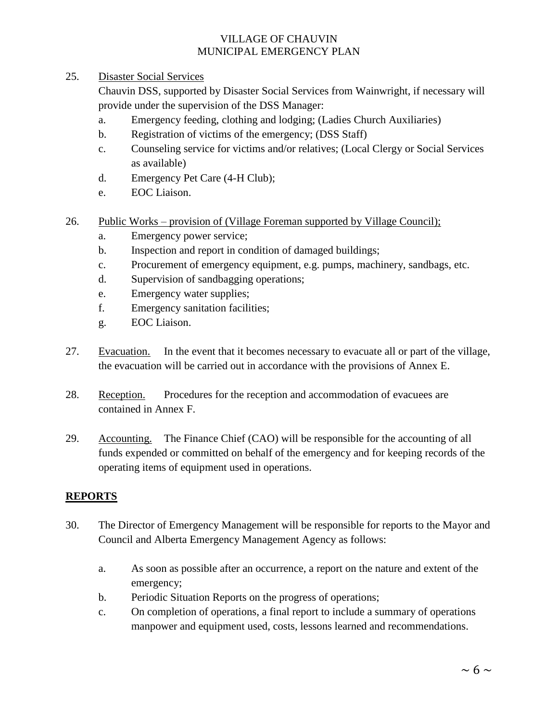25. Disaster Social Services

Chauvin DSS, supported by Disaster Social Services from Wainwright, if necessary will provide under the supervision of the DSS Manager:

- a. Emergency feeding, clothing and lodging; (Ladies Church Auxiliaries)
- b. Registration of victims of the emergency; (DSS Staff)
- c. Counseling service for victims and/or relatives; (Local Clergy or Social Services as available)
- d. Emergency Pet Care (4-H Club);
- e. EOC Liaison.
- 26. Public Works provision of (Village Foreman supported by Village Council);
	- a. Emergency power service;
	- b. Inspection and report in condition of damaged buildings;
	- c. Procurement of emergency equipment, e.g. pumps, machinery, sandbags, etc.
	- d. Supervision of sandbagging operations;
	- e. Emergency water supplies;
	- f. Emergency sanitation facilities;
	- g. EOC Liaison.
- 27. Evacuation. In the event that it becomes necessary to evacuate all or part of the village, the evacuation will be carried out in accordance with the provisions of Annex E.
- 28. Reception. Procedures for the reception and accommodation of evacuees are contained in Annex F.
- 29. Accounting. The Finance Chief (CAO) will be responsible for the accounting of all funds expended or committed on behalf of the emergency and for keeping records of the operating items of equipment used in operations.

#### **REPORTS**

- 30. The Director of Emergency Management will be responsible for reports to the Mayor and Council and Alberta Emergency Management Agency as follows:
	- a. As soon as possible after an occurrence, a report on the nature and extent of the emergency;
	- b. Periodic Situation Reports on the progress of operations;
	- c. On completion of operations, a final report to include a summary of operations manpower and equipment used, costs, lessons learned and recommendations.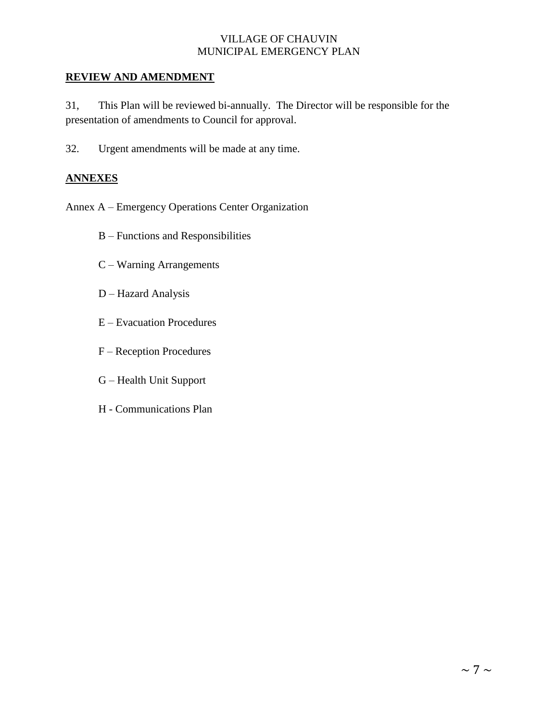#### **REVIEW AND AMENDMENT**

31, This Plan will be reviewed bi-annually. The Director will be responsible for the presentation of amendments to Council for approval.

32. Urgent amendments will be made at any time.

#### **ANNEXES**

Annex A – Emergency Operations Center Organization

- B Functions and Responsibilities
- C Warning Arrangements
- D Hazard Analysis
- E Evacuation Procedures
- F Reception Procedures
- G Health Unit Support
- H Communications Plan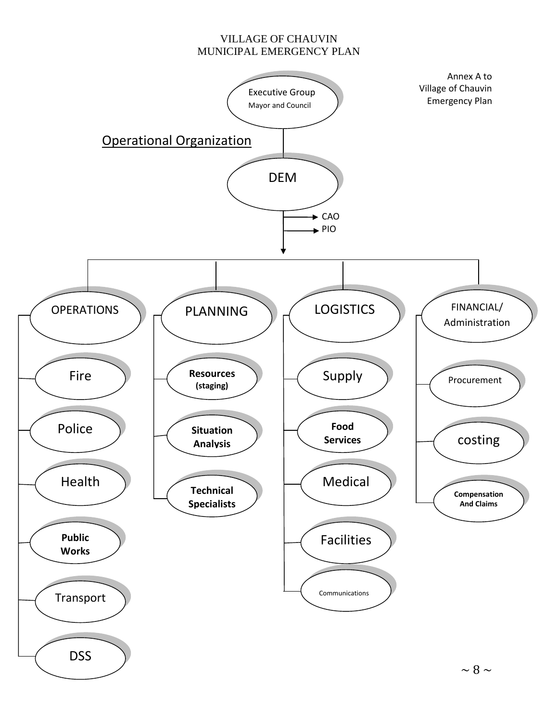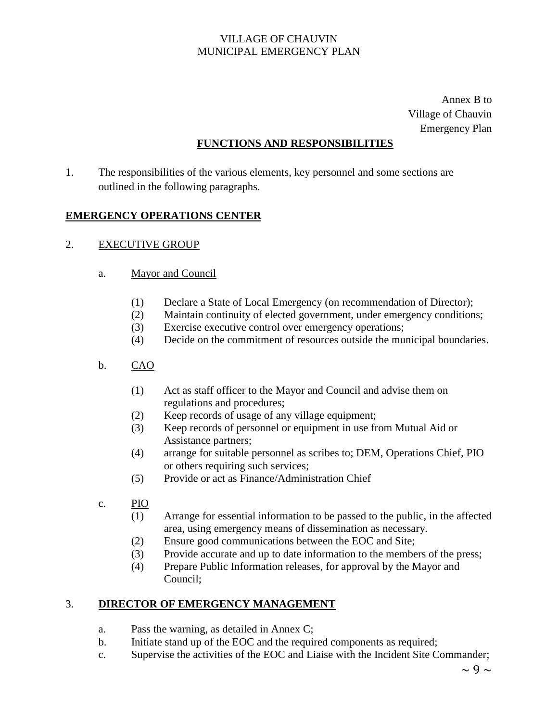Annex B to Village of Chauvin Emergency Plan

# **FUNCTIONS AND RESPONSIBILITIES**

1. The responsibilities of the various elements, key personnel and some sections are outlined in the following paragraphs.

#### **EMERGENCY OPERATIONS CENTER**

#### 2. EXECUTIVE GROUP

#### a. Mayor and Council

- (1) Declare a State of Local Emergency (on recommendation of Director);
- (2) Maintain continuity of elected government, under emergency conditions;
- (3) Exercise executive control over emergency operations;
- (4) Decide on the commitment of resources outside the municipal boundaries.
- b. CAO
	- (1) Act as staff officer to the Mayor and Council and advise them on regulations and procedures;
	- (2) Keep records of usage of any village equipment;
	- (3) Keep records of personnel or equipment in use from Mutual Aid or Assistance partners;
	- (4) arrange for suitable personnel as scribes to; DEM, Operations Chief, PIO or others requiring such services;
	- (5) Provide or act as Finance/Administration Chief
- c. PIO
	- (1) Arrange for essential information to be passed to the public, in the affected area, using emergency means of dissemination as necessary.
	- (2) Ensure good communications between the EOC and Site;
	- (3) Provide accurate and up to date information to the members of the press;
	- (4) Prepare Public Information releases, for approval by the Mayor and Council;

#### 3. **DIRECTOR OF EMERGENCY MANAGEMENT**

- a. Pass the warning, as detailed in Annex C;
- b. Initiate stand up of the EOC and the required components as required;
- c. Supervise the activities of the EOC and Liaise with the Incident Site Commander;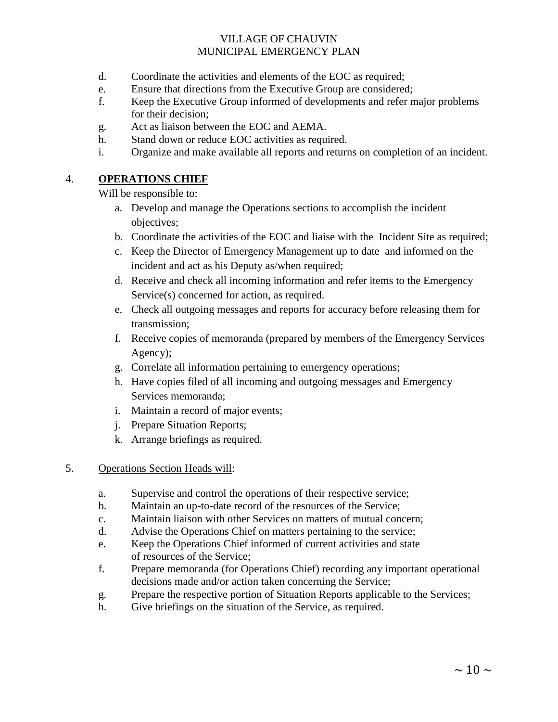- d. Coordinate the activities and elements of the EOC as required;
- e. Ensure that directions from the Executive Group are considered;
- f. Keep the Executive Group informed of developments and refer major problems for their decision;
- g. Act as liaison between the EOC and AEMA.
- h. Stand down or reduce EOC activities as required.
- i. Organize and make available all reports and returns on completion of an incident.

#### 4. **OPERATIONS CHIEF**

Will be responsible to:

- a. Develop and manage the Operations sections to accomplish the incident objectives;
- b. Coordinate the activities of the EOC and liaise with the Incident Site as required;
- c. Keep the Director of Emergency Management up to date and informed on the incident and act as his Deputy as/when required;
- d. Receive and check all incoming information and refer items to the Emergency Service(s) concerned for action, as required.
- e. Check all outgoing messages and reports for accuracy before releasing them for transmission;
- f. Receive copies of memoranda (prepared by members of the Emergency Services Agency);
- g. Correlate all information pertaining to emergency operations;
- h. Have copies filed of all incoming and outgoing messages and Emergency Services memoranda;
- i. Maintain a record of major events;
- j. Prepare Situation Reports;
- k. Arrange briefings as required.
- 5. Operations Section Heads will:
	- a. Supervise and control the operations of their respective service;
	- b. Maintain an up-to-date record of the resources of the Service;
	- c. Maintain liaison with other Services on matters of mutual concern;
	- d. Advise the Operations Chief on matters pertaining to the service;
	- e. Keep the Operations Chief informed of current activities and state of resources of the Service;
	- f. Prepare memoranda (for Operations Chief) recording any important operational decisions made and/or action taken concerning the Service;
	- g. Prepare the respective portion of Situation Reports applicable to the Services;
	- h. Give briefings on the situation of the Service, as required.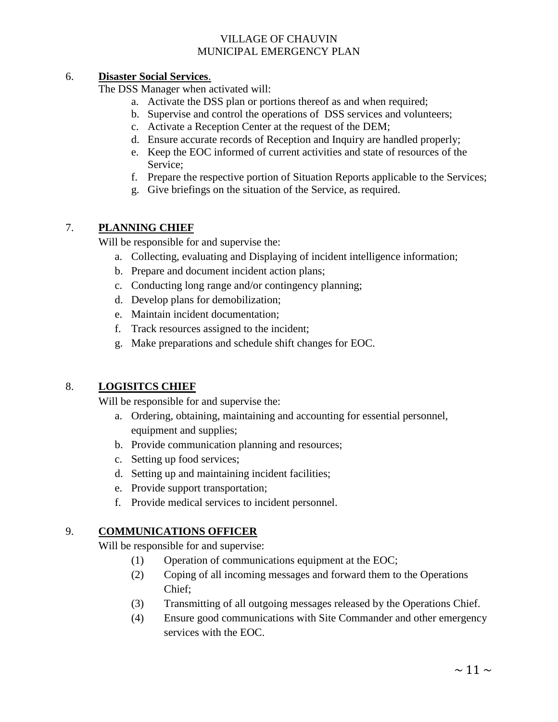#### 6. 6. **Disaster Social Services**.

The DSS Manager when activated will:

- a. Activate the DSS plan or portions thereof as and when required;
- b. Supervise and control the operations of DSS services and volunteers;
- c. Activate a Reception Center at the request of the DEM;
- d. Ensure accurate records of Reception and Inquiry are handled properly;
- e. Keep the EOC informed of current activities and state of resources of the Service;
- f. Prepare the respective portion of Situation Reports applicable to the Services;
- g. Give briefings on the situation of the Service, as required.

# 7. **PLANNING CHIEF**

Will be responsible for and supervise the:

- a. Collecting, evaluating and Displaying of incident intelligence information;
- b. Prepare and document incident action plans;
- c. Conducting long range and/or contingency planning;
- d. Develop plans for demobilization;
- e. Maintain incident documentation;
- f. Track resources assigned to the incident;
- g. Make preparations and schedule shift changes for EOC.

# 8. **LOGISITCS CHIEF**

Will be responsible for and supervise the:

- a. Ordering, obtaining, maintaining and accounting for essential personnel, equipment and supplies;
- b. Provide communication planning and resources;
- c. Setting up food services;
- d. Setting up and maintaining incident facilities;
- e. Provide support transportation;
- f. Provide medical services to incident personnel.

# 9. **COMMUNICATIONS OFFICER**

Will be responsible for and supervise:

- (1) Operation of communications equipment at the EOC;
- (2) Coping of all incoming messages and forward them to the Operations Chief;
- (3) Transmitting of all outgoing messages released by the Operations Chief.
- (4) Ensure good communications with Site Commander and other emergency services with the EOC.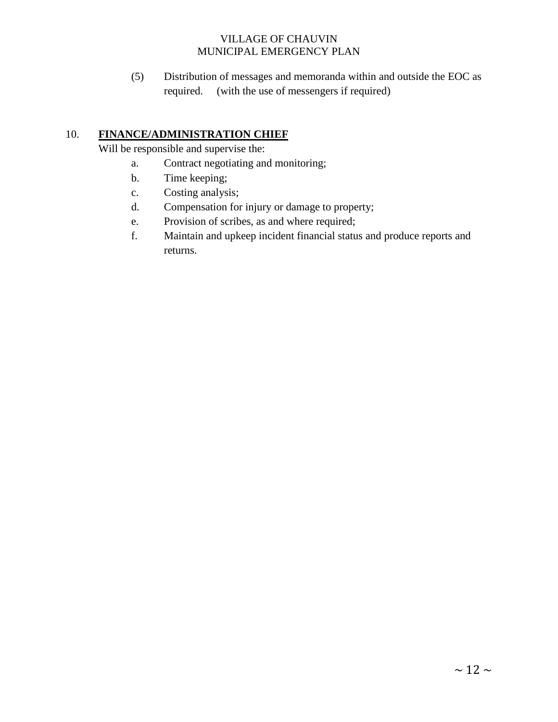(5) Distribution of messages and memoranda within and outside the EOC as required. (with the use of messengers if required)

# 10. **FINANCE/ADMINISTRATION CHIEF**

Will be responsible and supervise the:

- a. Contract negotiating and monitoring;
- b. Time keeping;
- c. Costing analysis;
- d. Compensation for injury or damage to property;
- e. Provision of scribes, as and where required;
- f. Maintain and upkeep incident financial status and produce reports and returns.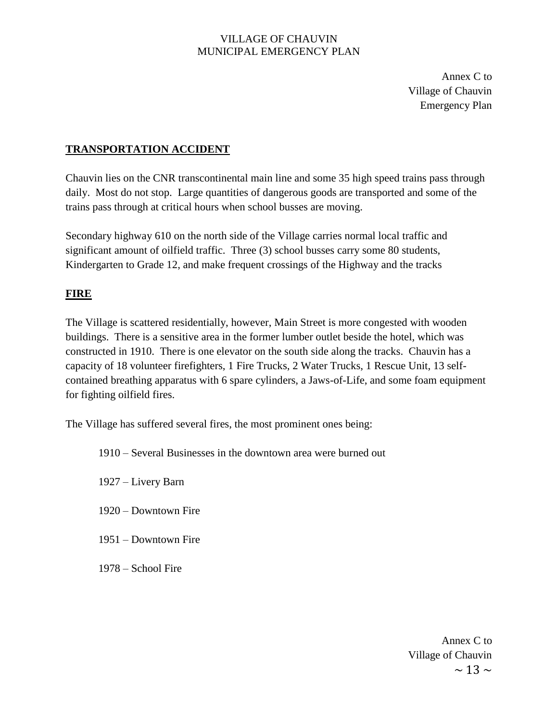Annex C to Village of Chauvin Emergency Plan

#### **TRANSPORTATION ACCIDENT**

Chauvin lies on the CNR transcontinental main line and some 35 high speed trains pass through daily. Most do not stop. Large quantities of dangerous goods are transported and some of the trains pass through at critical hours when school busses are moving.

Secondary highway 610 on the north side of the Village carries normal local traffic and significant amount of oilfield traffic. Three (3) school busses carry some 80 students, Kindergarten to Grade 12, and make frequent crossings of the Highway and the tracks

# **FIRE**

The Village is scattered residentially, however, Main Street is more congested with wooden buildings. There is a sensitive area in the former lumber outlet beside the hotel, which was constructed in 1910. There is one elevator on the south side along the tracks. Chauvin has a capacity of 18 volunteer firefighters, 1 Fire Trucks, 2 Water Trucks, 1 Rescue Unit, 13 selfcontained breathing apparatus with 6 spare cylinders, a Jaws-of-Life, and some foam equipment for fighting oilfield fires.

The Village has suffered several fires, the most prominent ones being:

1910 – Several Businesses in the downtown area were burned out

1927 – Livery Barn

- 1920 Downtown Fire
- 1951 Downtown Fire
- 1978 School Fire

 $\sim$  13  $\sim$ Annex C to Village of Chauvin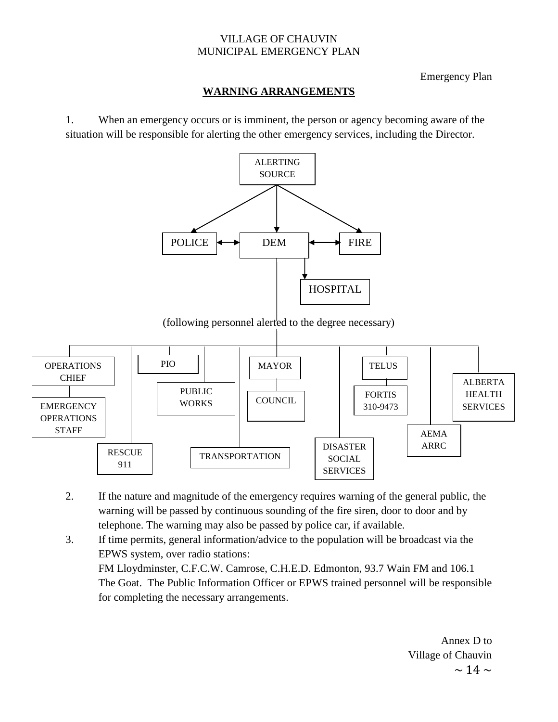#### Emergency Plan

#### **WARNING ARRANGEMENTS**

1. When an emergency occurs or is imminent, the person or agency becoming aware of the situation will be responsible for alerting the other emergency services, including the Director.



MAYOR **COUNCIL OPERATIONS CHIEF** PIO PUBLIC WORKS RESCUE 911 TRANSPORTATION **TELUS** FORTIS 310-9473 DISASTER SOCIAL SERVICES AEMA ARRC ALBERTA HEALTH EMERGENCY | | WORKS | | COUNCIL | 310-9473 | | SERVICES **OPERATIONS STAFF** 

- 2. If the nature and magnitude of the emergency requires warning of the general public, the warning will be passed by continuous sounding of the fire siren, door to door and by telephone. The warning may also be passed by police car, if available.
- 3. If time permits, general information/advice to the population will be broadcast via the EPWS system, over radio stations: FM Lloydminster, C.F.C.W. Camrose, C.H.E.D. Edmonton, 93.7 Wain FM and 106.1 The Goat. The Public Information Officer or EPWS trained personnel will be responsible for completing the necessary arrangements.

 $\sim$  14  $\sim$ Annex D to Village of Chauvin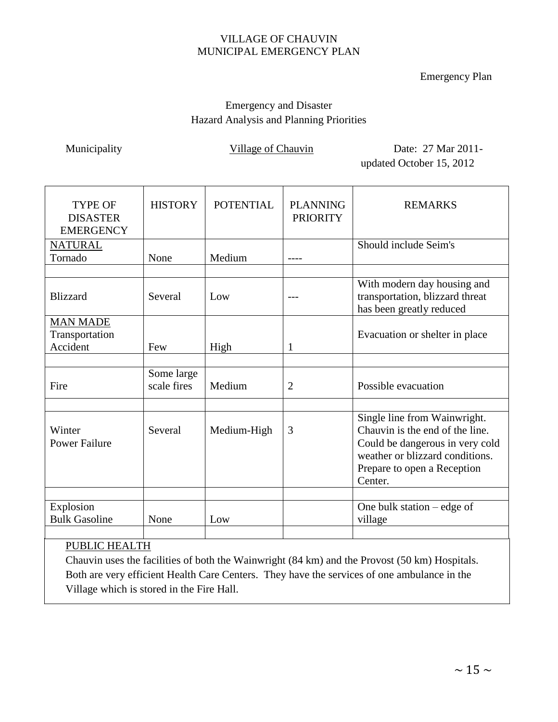#### Emergency Plan

# Emergency and Disaster Hazard Analysis and Planning Priorities

Municipality Village of Chauvin Date: 27 Mar 2011updated October 15, 2012

| <b>TYPE OF</b><br><b>DISASTER</b><br><b>EMERGENCY</b> | <b>HISTORY</b>            | <b>POTENTIAL</b> | <b>PLANNING</b><br><b>PRIORITY</b> | <b>REMARKS</b>                                                                                                                                                                  |
|-------------------------------------------------------|---------------------------|------------------|------------------------------------|---------------------------------------------------------------------------------------------------------------------------------------------------------------------------------|
| <b>NATURAL</b>                                        |                           |                  |                                    | Should include Seim's                                                                                                                                                           |
| Tornado                                               | None                      | Medium           |                                    |                                                                                                                                                                                 |
|                                                       |                           |                  |                                    |                                                                                                                                                                                 |
| <b>Blizzard</b>                                       | Several                   | Low              |                                    | With modern day housing and<br>transportation, blizzard threat<br>has been greatly reduced                                                                                      |
| <b>MAN MADE</b>                                       |                           |                  |                                    |                                                                                                                                                                                 |
| Transportation                                        |                           |                  |                                    | Evacuation or shelter in place                                                                                                                                                  |
| Accident                                              | Few                       | High             | 1                                  |                                                                                                                                                                                 |
|                                                       |                           |                  |                                    |                                                                                                                                                                                 |
| Fire                                                  | Some large<br>scale fires | Medium           | $\overline{2}$                     | Possible evacuation                                                                                                                                                             |
|                                                       |                           |                  |                                    |                                                                                                                                                                                 |
| Winter<br><b>Power Failure</b>                        | Several                   | Medium-High      | 3                                  | Single line from Wainwright.<br>Chauvin is the end of the line.<br>Could be dangerous in very cold<br>weather or blizzard conditions.<br>Prepare to open a Reception<br>Center. |
|                                                       |                           |                  |                                    |                                                                                                                                                                                 |
| Explosion<br><b>Bulk Gasoline</b>                     | None                      | Low              |                                    | One bulk station $-\text{edge of }$<br>village                                                                                                                                  |
|                                                       |                           |                  |                                    |                                                                                                                                                                                 |

# PUBLIC HEALTH

Chauvin uses the facilities of both the Wainwright (84 km) and the Provost (50 km) Hospitals. Both are very efficient Health Care Centers. They have the services of one ambulance in the Village which is stored in the Fire Hall.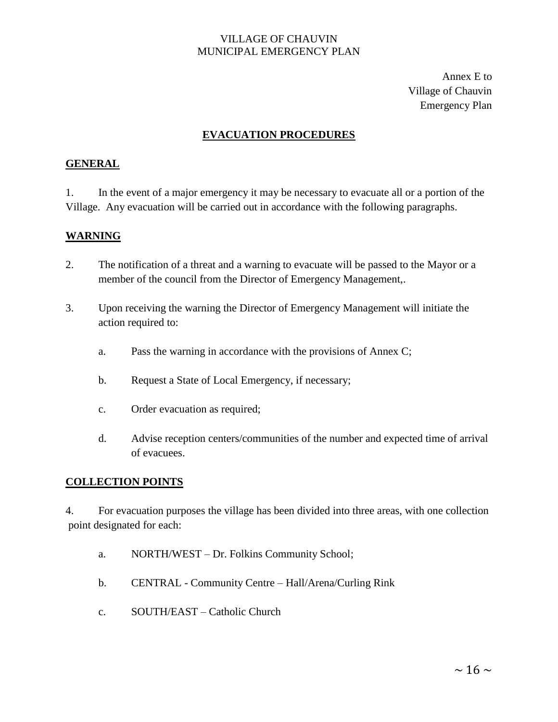Annex E to Village of Chauvin Emergency Plan

# **EVACUATION PROCEDURES**

#### **GENERAL**

1. In the event of a major emergency it may be necessary to evacuate all or a portion of the Village. Any evacuation will be carried out in accordance with the following paragraphs.

#### **WARNING**

- 2. The notification of a threat and a warning to evacuate will be passed to the Mayor or a member of the council from the Director of Emergency Management,.
- 3. Upon receiving the warning the Director of Emergency Management will initiate the action required to:
	- a. Pass the warning in accordance with the provisions of Annex C;
	- b. Request a State of Local Emergency, if necessary;
	- c. Order evacuation as required;
	- d. Advise reception centers/communities of the number and expected time of arrival of evacuees.

#### **COLLECTION POINTS**

4. For evacuation purposes the village has been divided into three areas, with one collection point designated for each:

- a. NORTH/WEST Dr. Folkins Community School;
- b. CENTRAL Community Centre Hall/Arena/Curling Rink
- c. SOUTH/EAST Catholic Church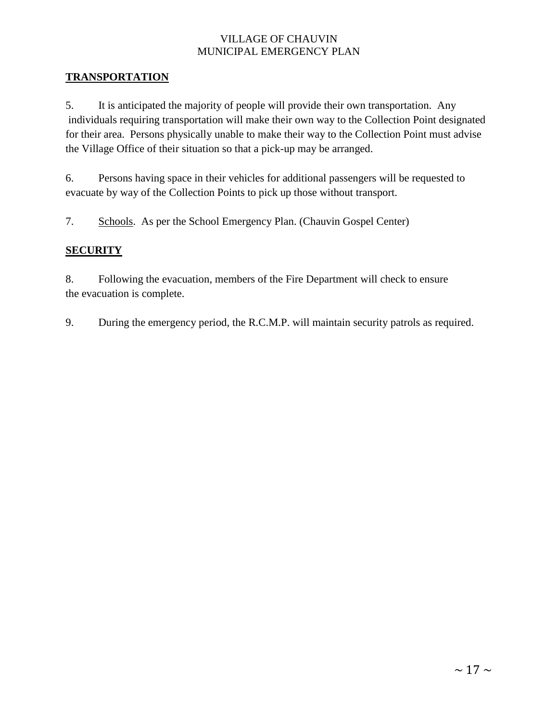#### **TRANSPORTATION**

5. It is anticipated the majority of people will provide their own transportation. Any individuals requiring transportation will make their own way to the Collection Point designated for their area. Persons physically unable to make their way to the Collection Point must advise the Village Office of their situation so that a pick-up may be arranged.

6. Persons having space in their vehicles for additional passengers will be requested to evacuate by way of the Collection Points to pick up those without transport.

7. Schools. As per the School Emergency Plan. (Chauvin Gospel Center)

# **SECURITY**

8. Following the evacuation, members of the Fire Department will check to ensure the evacuation is complete.

9. During the emergency period, the R.C.M.P. will maintain security patrols as required.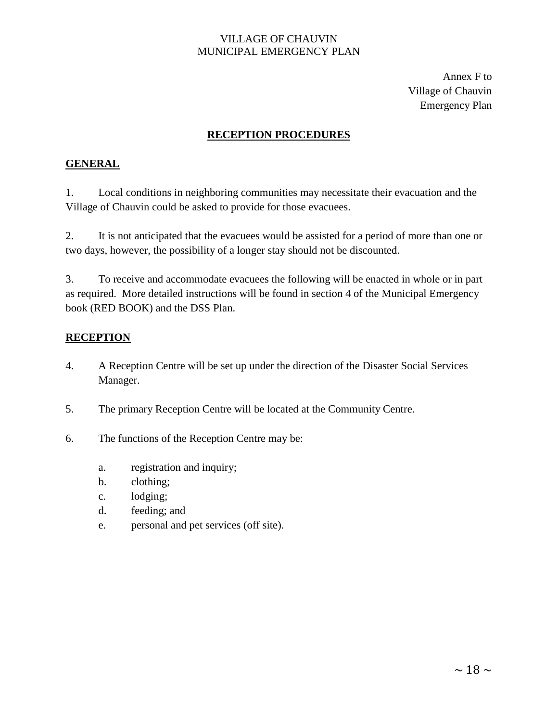Annex F to Village of Chauvin Emergency Plan

## **RECEPTION PROCEDURES**

#### **GENERAL**

1. Local conditions in neighboring communities may necessitate their evacuation and the Village of Chauvin could be asked to provide for those evacuees.

2. It is not anticipated that the evacuees would be assisted for a period of more than one or two days, however, the possibility of a longer stay should not be discounted.

3. To receive and accommodate evacuees the following will be enacted in whole or in part as required. More detailed instructions will be found in section 4 of the Municipal Emergency book (RED BOOK) and the DSS Plan.

#### **RECEPTION**

- 4. A Reception Centre will be set up under the direction of the Disaster Social Services Manager.
- 5. The primary Reception Centre will be located at the Community Centre.
- 6. The functions of the Reception Centre may be:
	- a. registration and inquiry;
	- b. clothing;
	- c. lodging;
	- d. feeding; and
	- e. personal and pet services (off site).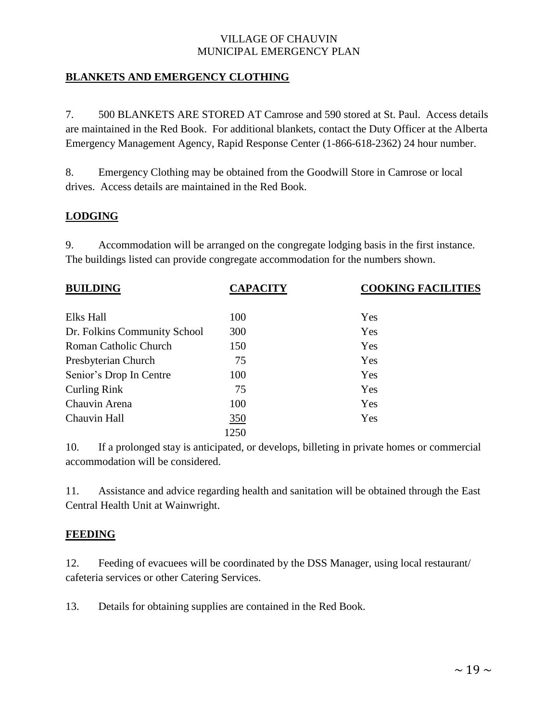#### **BLANKETS AND EMERGENCY CLOTHING**

7. 500 BLANKETS ARE STORED AT Camrose and 590 stored at St. Paul. Access details are maintained in the Red Book. For additional blankets, contact the Duty Officer at the Alberta Emergency Management Agency, Rapid Response Center (1-866-618-2362) 24 hour number.

8. Emergency Clothing may be obtained from the Goodwill Store in Camrose or local drives. Access details are maintained in the Red Book.

#### **LODGING**

9. Accommodation will be arranged on the congregate lodging basis in the first instance. The buildings listed can provide congregate accommodation for the numbers shown.

| <b>BUILDING</b>              | <b>CAPACITY</b> | <b>COOKING FACILITIES</b> |
|------------------------------|-----------------|---------------------------|
| Elks Hall                    | 100             | Yes                       |
| Dr. Folkins Community School | 300             | Yes                       |
| Roman Catholic Church        | 150             | Yes                       |
| Presbyterian Church          | 75              | Yes                       |
| Senior's Drop In Centre      | 100             | Yes                       |
| <b>Curling Rink</b>          | 75              | Yes                       |
| Chauvin Arena                | 100             | Yes                       |
| Chauvin Hall                 | <u>350</u>      | Yes                       |
|                              | 1250            |                           |

10. If a prolonged stay is anticipated, or develops, billeting in private homes or commercial accommodation will be considered.

11. Assistance and advice regarding health and sanitation will be obtained through the East Central Health Unit at Wainwright.

#### **FEEDING**

12. Feeding of evacuees will be coordinated by the DSS Manager, using local restaurant/ cafeteria services or other Catering Services.

13. Details for obtaining supplies are contained in the Red Book.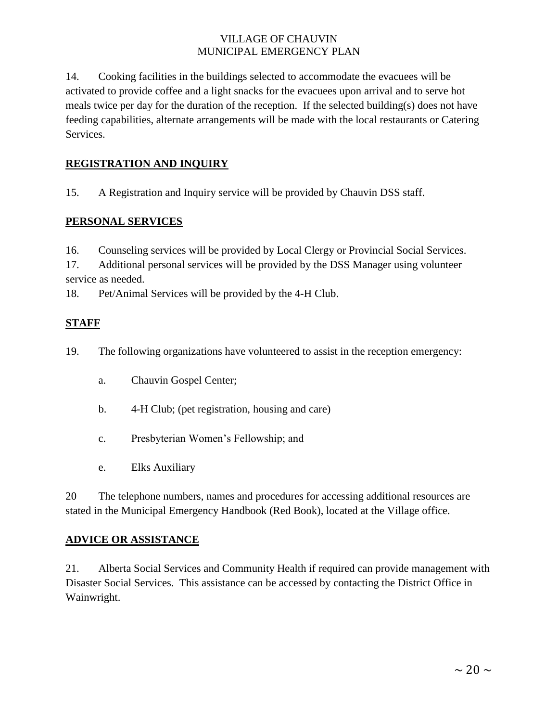14. Cooking facilities in the buildings selected to accommodate the evacuees will be activated to provide coffee and a light snacks for the evacuees upon arrival and to serve hot meals twice per day for the duration of the reception. If the selected building(s) does not have feeding capabilities, alternate arrangements will be made with the local restaurants or Catering Services.

# **REGISTRATION AND INQUIRY**

15. A Registration and Inquiry service will be provided by Chauvin DSS staff.

#### **PERSONAL SERVICES**

16. Counseling services will be provided by Local Clergy or Provincial Social Services.

17. Additional personal services will be provided by the DSS Manager using volunteer service as needed.

18. Pet/Animal Services will be provided by the 4-H Club.

# **STAFF**

19. The following organizations have volunteered to assist in the reception emergency:

- a. Chauvin Gospel Center;
- b. 4-H Club; (pet registration, housing and care)
- c. Presbyterian Women's Fellowship; and
- e. Elks Auxiliary

20 The telephone numbers, names and procedures for accessing additional resources are stated in the Municipal Emergency Handbook (Red Book), located at the Village office.

#### **ADVICE OR ASSISTANCE**

21. Alberta Social Services and Community Health if required can provide management with Disaster Social Services. This assistance can be accessed by contacting the District Office in Wainwright.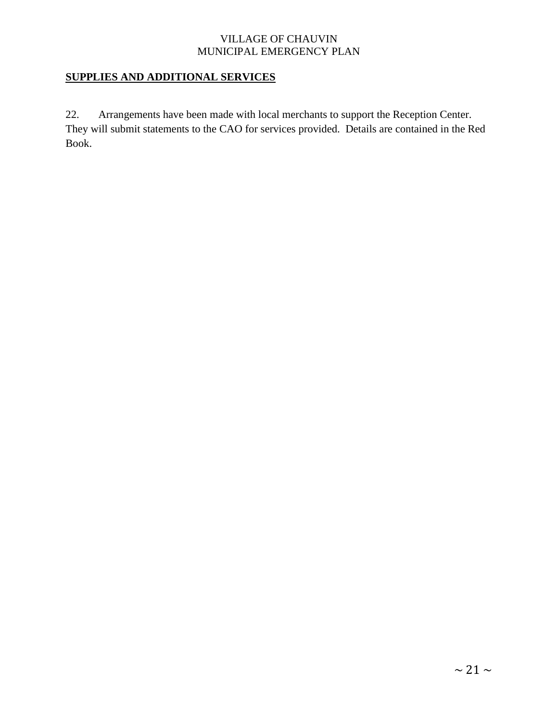# **SUPPLIES AND ADDITIONAL SERVICES**

22. Arrangements have been made with local merchants to support the Reception Center. They will submit statements to the CAO for services provided. Details are contained in the Red Book.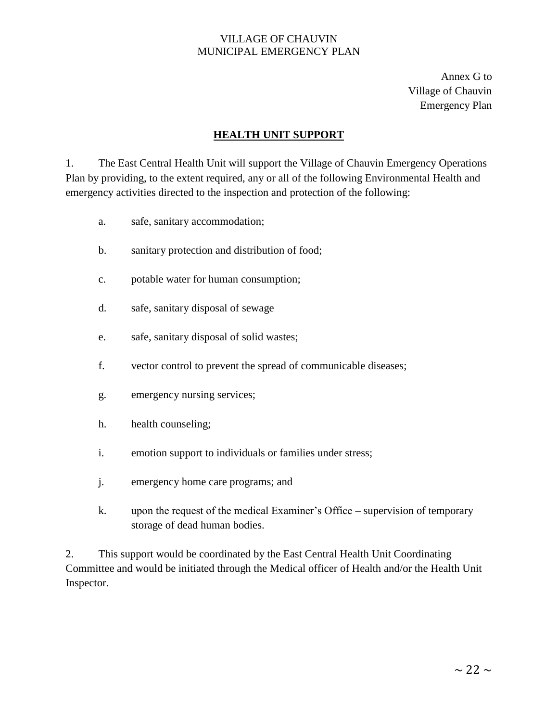Annex G to Village of Chauvin Emergency Plan

#### **HEALTH UNIT SUPPORT**

1. The East Central Health Unit will support the Village of Chauvin Emergency Operations Plan by providing, to the extent required, any or all of the following Environmental Health and emergency activities directed to the inspection and protection of the following:

- a. safe, sanitary accommodation;
- b. sanitary protection and distribution of food;
- c. potable water for human consumption;
- d. safe, sanitary disposal of sewage
- e. safe, sanitary disposal of solid wastes;
- f. vector control to prevent the spread of communicable diseases;
- g. emergency nursing services;
- h. health counseling;
- i. emotion support to individuals or families under stress;
- j. emergency home care programs; and
- k. upon the request of the medical Examiner's Office supervision of temporary storage of dead human bodies.

2. This support would be coordinated by the East Central Health Unit Coordinating Committee and would be initiated through the Medical officer of Health and/or the Health Unit Inspector.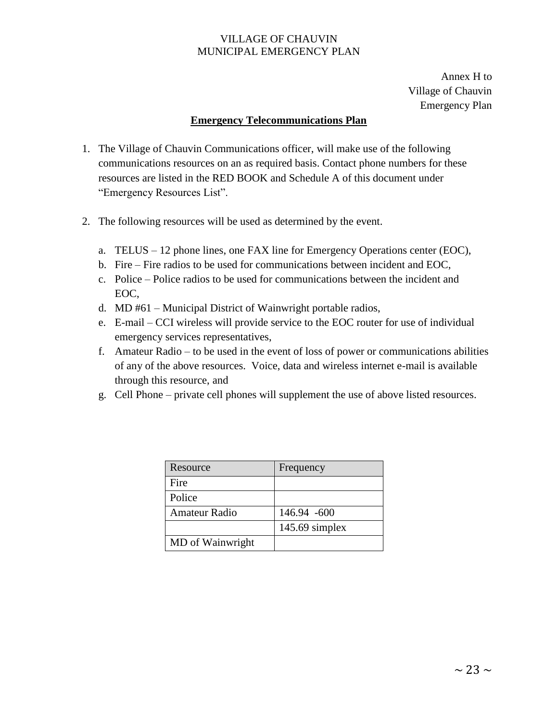Annex H to Village of Chauvin Emergency Plan

#### **Emergency Telecommunications Plan**

- 1. The Village of Chauvin Communications officer, will make use of the following communications resources on an as required basis. Contact phone numbers for these resources are listed in the RED BOOK and Schedule A of this document under "Emergency Resources List".
- 2. The following resources will be used as determined by the event.
	- a. TELUS 12 phone lines, one FAX line for Emergency Operations center (EOC),
	- b. Fire Fire radios to be used for communications between incident and EOC,
	- c. Police Police radios to be used for communications between the incident and EOC,
	- d. MD #61 Municipal District of Wainwright portable radios,
	- e. E-mail CCI wireless will provide service to the EOC router for use of individual emergency services representatives,
	- f. Amateur Radio to be used in the event of loss of power or communications abilities of any of the above resources. Voice, data and wireless internet e-mail is available through this resource, and
	- g. Cell Phone private cell phones will supplement the use of above listed resources.

| Resource         | Frequency        |
|------------------|------------------|
| Fire             |                  |
| Police           |                  |
| Amateur Radio    | 146.94 -600      |
|                  | $145.69$ simplex |
| MD of Wainwright |                  |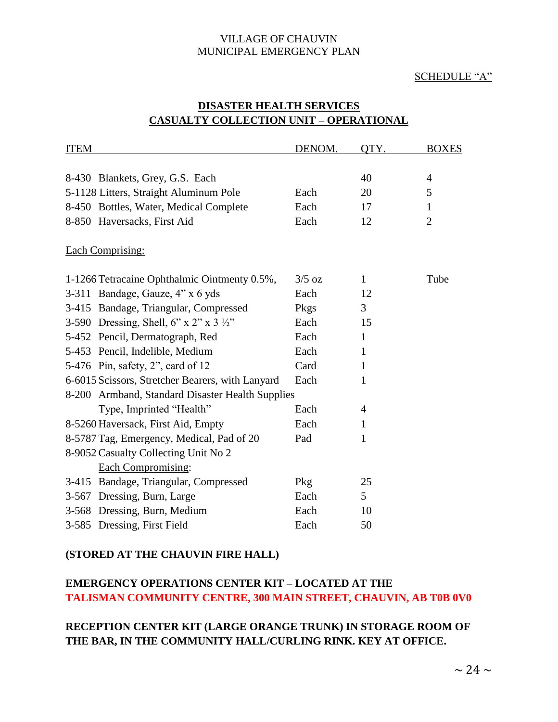#### SCHEDULE "A"

| <b>ITEM</b> |                                                    | DENOM.   | OTY.           | <b>BOXES</b>   |
|-------------|----------------------------------------------------|----------|----------------|----------------|
|             |                                                    |          |                |                |
|             | 8-430 Blankets, Grey, G.S. Each                    |          | 40             | $\overline{4}$ |
|             | 5-1128 Litters, Straight Aluminum Pole             | Each     | 20             | 5              |
|             | 8-450 Bottles, Water, Medical Complete             | Each     | 17             | $\mathbf{1}$   |
|             | 8-850 Haversacks, First Aid                        | Each     | 12             | $\overline{2}$ |
|             | <b>Each Comprising:</b>                            |          |                |                |
|             | 1-1266 Tetracaine Ophthalmic Ointmenty 0.5%,       | $3/5$ oz | $\mathbf{1}$   | Tube           |
|             | 3-311 Bandage, Gauze, 4" x 6 yds                   | Each     | 12             |                |
|             | 3-415 Bandage, Triangular, Compressed              | Pkgs     | 3              |                |
|             | 3-590 Dressing, Shell, 6" x 2" x 3 $\frac{1}{2}$ " | Each     | 15             |                |
|             | 5-452 Pencil, Dermatograph, Red                    | Each     | $\mathbf{1}$   |                |
|             | 5-453 Pencil, Indelible, Medium                    | Each     | $\mathbf{1}$   |                |
|             | 5-476 Pin, safety, 2", card of 12                  | Card     | $\mathbf{1}$   |                |
|             | 6-6015 Scissors, Stretcher Bearers, with Lanyard   | Each     | $\mathbf{1}$   |                |
|             | 8-200 Armband, Standard Disaster Health Supplies   |          |                |                |
|             | Type, Imprinted "Health"                           | Each     | $\overline{4}$ |                |
|             | 8-5260 Haversack, First Aid, Empty                 | Each     | 1              |                |
|             | 8-5787 Tag, Emergency, Medical, Pad of 20          | Pad      | $\mathbf{1}$   |                |
|             | 8-9052 Casualty Collecting Unit No 2               |          |                |                |
|             | Each Compromising:                                 |          |                |                |
|             | 3-415 Bandage, Triangular, Compressed              | Pkg      | 25             |                |
|             | 3-567 Dressing, Burn, Large                        | Each     | 5              |                |
|             | 3-568 Dressing, Burn, Medium                       | Each     | 10             |                |
|             | 3-585 Dressing, First Field                        | Each     | 50             |                |

# **DISASTER HEALTH SERVICES CASUALTY COLLECTION UNIT – OPERATIONAL**

#### **(STORED AT THE CHAUVIN FIRE HALL)**

# **EMERGENCY OPERATIONS CENTER KIT – LOCATED AT THE TALISMAN COMMUNITY CENTRE, 300 MAIN STREET, CHAUVIN, AB T0B 0V0**

# **RECEPTION CENTER KIT (LARGE ORANGE TRUNK) IN STORAGE ROOM OF THE BAR, IN THE COMMUNITY HALL/CURLING RINK. KEY AT OFFICE.**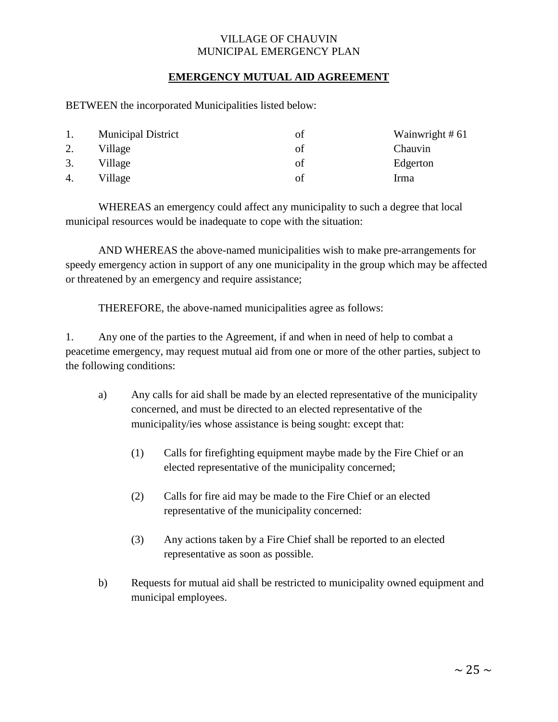#### **EMERGENCY MUTUAL AID AGREEMENT**

BETWEEN the incorporated Municipalities listed below:

|    | <b>Municipal District</b> | Ωt | Wainwright # 61 |
|----|---------------------------|----|-----------------|
| 2. | Village                   | οť | Chauvin         |
| 3. | Village                   | οf | Edgerton        |
| 4. | Village                   | Ωf | Irma            |

WHEREAS an emergency could affect any municipality to such a degree that local municipal resources would be inadequate to cope with the situation:

AND WHEREAS the above-named municipalities wish to make pre-arrangements for speedy emergency action in support of any one municipality in the group which may be affected or threatened by an emergency and require assistance;

THEREFORE, the above-named municipalities agree as follows:

1. Any one of the parties to the Agreement, if and when in need of help to combat a peacetime emergency, may request mutual aid from one or more of the other parties, subject to the following conditions:

- a) Any calls for aid shall be made by an elected representative of the municipality concerned, and must be directed to an elected representative of the municipality/ies whose assistance is being sought: except that:
	- (1) Calls for firefighting equipment maybe made by the Fire Chief or an elected representative of the municipality concerned;
	- (2) Calls for fire aid may be made to the Fire Chief or an elected representative of the municipality concerned:
	- (3) Any actions taken by a Fire Chief shall be reported to an elected representative as soon as possible.
- b) Requests for mutual aid shall be restricted to municipality owned equipment and municipal employees.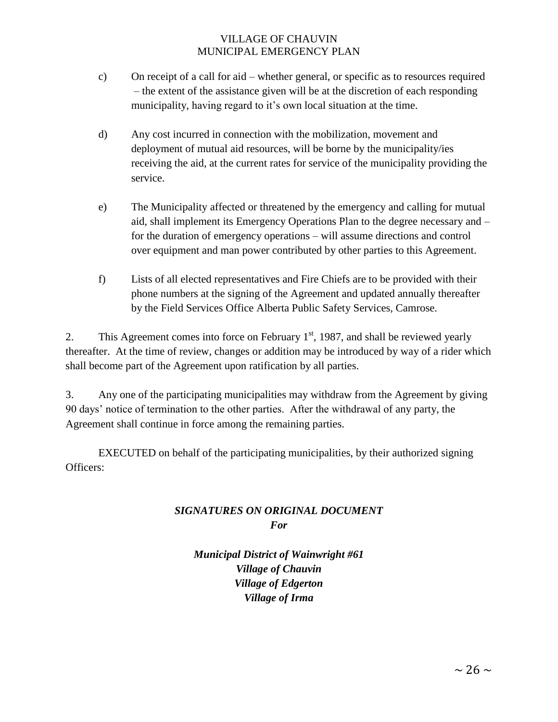- c) On receipt of a call for aid whether general, or specific as to resources required – the extent of the assistance given will be at the discretion of each responding municipality, having regard to it's own local situation at the time.
- d) Any cost incurred in connection with the mobilization, movement and deployment of mutual aid resources, will be borne by the municipality/ies receiving the aid, at the current rates for service of the municipality providing the service.
- e) The Municipality affected or threatened by the emergency and calling for mutual aid, shall implement its Emergency Operations Plan to the degree necessary and – for the duration of emergency operations – will assume directions and control over equipment and man power contributed by other parties to this Agreement.
- f) Lists of all elected representatives and Fire Chiefs are to be provided with their phone numbers at the signing of the Agreement and updated annually thereafter by the Field Services Office Alberta Public Safety Services, Camrose.

2. This Agreement comes into force on February  $1<sup>st</sup>$ , 1987, and shall be reviewed yearly thereafter. At the time of review, changes or addition may be introduced by way of a rider which shall become part of the Agreement upon ratification by all parties.

3. Any one of the participating municipalities may withdraw from the Agreement by giving 90 days' notice of termination to the other parties. After the withdrawal of any party, the Agreement shall continue in force among the remaining parties.

EXECUTED on behalf of the participating municipalities, by their authorized signing Officers:

# *SIGNATURES ON ORIGINAL DOCUMENT For*

*Municipal District of Wainwright #61 Village of Chauvin Village of Edgerton Village of Irma*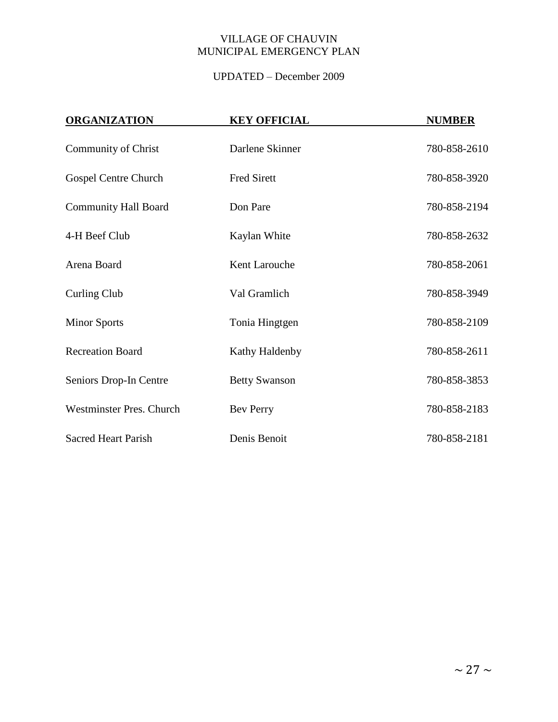# UPDATED – December 2009

| <b>ORGANIZATION</b>             | <b>KEY OFFICIAL</b>  | <b>NUMBER</b> |
|---------------------------------|----------------------|---------------|
| <b>Community of Christ</b>      | Darlene Skinner      | 780-858-2610  |
| Gospel Centre Church            | <b>Fred Sirett</b>   | 780-858-3920  |
| <b>Community Hall Board</b>     | Don Pare             | 780-858-2194  |
| 4-H Beef Club                   | Kaylan White         | 780-858-2632  |
| Arena Board                     | Kent Larouche        | 780-858-2061  |
| Curling Club                    | Val Gramlich         | 780-858-3949  |
| <b>Minor Sports</b>             | Tonia Hingtgen       | 780-858-2109  |
| <b>Recreation Board</b>         | Kathy Haldenby       | 780-858-2611  |
| Seniors Drop-In Centre          | <b>Betty Swanson</b> | 780-858-3853  |
| <b>Westminster Pres. Church</b> | <b>Bev Perry</b>     | 780-858-2183  |
| <b>Sacred Heart Parish</b>      | Denis Benoit         | 780-858-2181  |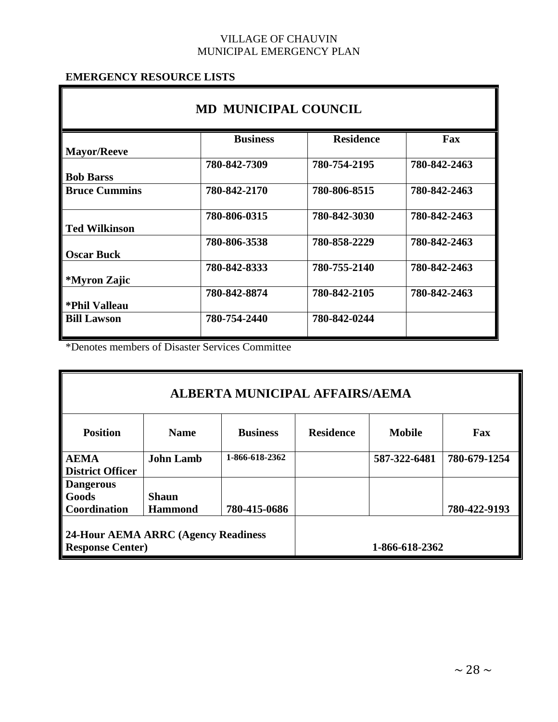# **EMERGENCY RESOURCE LISTS**

| <b>MD MUNICIPAL COUNCIL</b> |                 |                  |              |  |  |
|-----------------------------|-----------------|------------------|--------------|--|--|
|                             | <b>Business</b> | <b>Residence</b> | Fax          |  |  |
| <b>Mayor/Reeve</b>          |                 |                  |              |  |  |
|                             | 780-842-7309    | 780-754-2195     | 780-842-2463 |  |  |
| <b>Bob Barss</b>            |                 |                  |              |  |  |
| <b>Bruce Cummins</b>        | 780-842-2170    | 780-806-8515     | 780-842-2463 |  |  |
|                             | 780-806-0315    | 780-842-3030     | 780-842-2463 |  |  |
| <b>Ted Wilkinson</b>        |                 |                  |              |  |  |
|                             | 780-806-3538    | 780-858-2229     | 780-842-2463 |  |  |
| <b>Oscar Buck</b>           |                 |                  |              |  |  |
|                             | 780-842-8333    | 780-755-2140     | 780-842-2463 |  |  |
| *Myron Zajic                |                 |                  |              |  |  |
|                             | 780-842-8874    | 780-842-2105     | 780-842-2463 |  |  |
| *Phil Valleau               |                 |                  |              |  |  |
| <b>Bill Lawson</b>          | 780-754-2440    | 780-842-0244     |              |  |  |

\*Denotes members of Disaster Services Committee

| ALBERTA MUNICIPAL AFFAIRS/AEMA                                 |                  |                 |                  |               |              |
|----------------------------------------------------------------|------------------|-----------------|------------------|---------------|--------------|
| <b>Position</b>                                                | <b>Name</b>      | <b>Business</b> | <b>Residence</b> | <b>Mobile</b> | Fax          |
| <b>AEMA</b>                                                    | <b>John Lamb</b> | 1-866-618-2362  |                  | 587-322-6481  | 780-679-1254 |
| <b>District Officer</b>                                        |                  |                 |                  |               |              |
| <b>Dangerous</b>                                               |                  |                 |                  |               |              |
| Goods                                                          | <b>Shaun</b>     |                 |                  |               |              |
| Coordination                                                   | <b>Hammond</b>   | 780-415-0686    |                  |               | 780-422-9193 |
| 24-Hour AEMA ARRC (Agency Readiness<br><b>Response Center)</b> |                  |                 | 1-866-618-2362   |               |              |
|                                                                |                  |                 |                  |               |              |

g)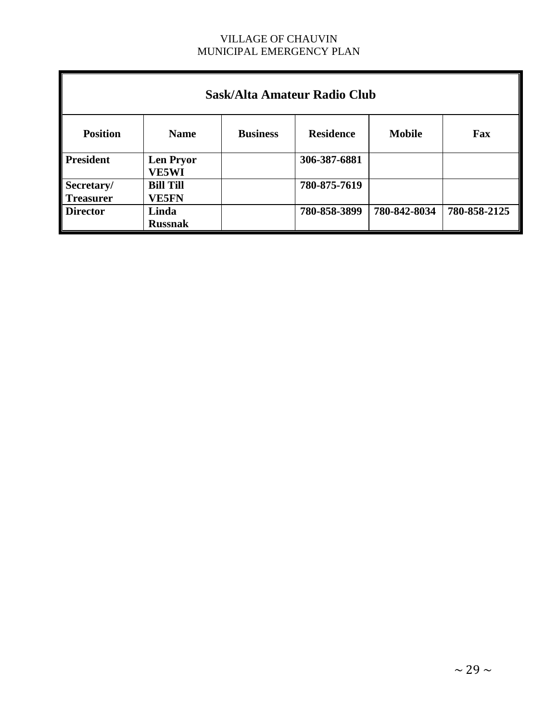| Sask/Alta Amateur Radio Club   |                                  |                 |                  |               |              |  |
|--------------------------------|----------------------------------|-----------------|------------------|---------------|--------------|--|
| <b>Position</b>                | <b>Name</b>                      | <b>Business</b> | <b>Residence</b> | <b>Mobile</b> | Fax          |  |
| <b>President</b>               | <b>Len Pryor</b><br><b>VE5WI</b> |                 | 306-387-6881     |               |              |  |
| Secretary/<br><b>Treasurer</b> | <b>Bill Till</b><br><b>VE5FN</b> |                 | 780-875-7619     |               |              |  |
| <b>Director</b>                | Linda<br><b>Russnak</b>          |                 | 780-858-3899     | 780-842-8034  | 780-858-2125 |  |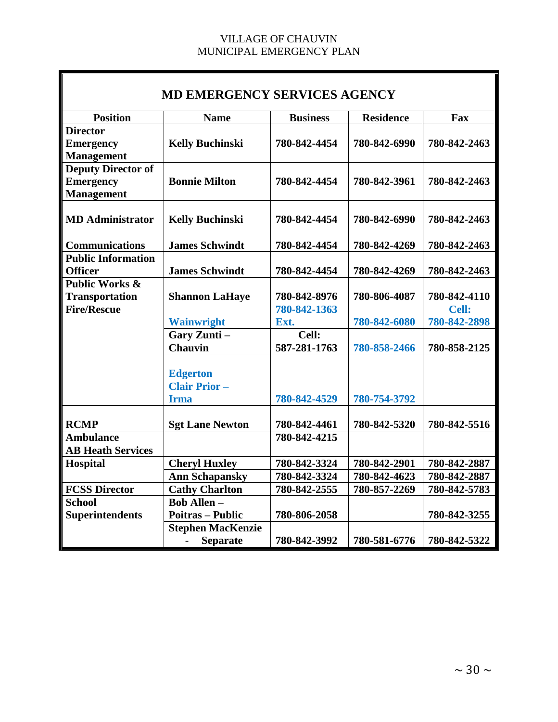| <b>MD EMERGENCY SERVICES AGENCY</b> |                                             |                 |                  |              |  |
|-------------------------------------|---------------------------------------------|-----------------|------------------|--------------|--|
| <b>Position</b>                     | <b>Name</b>                                 | <b>Business</b> | <b>Residence</b> | Fax          |  |
| <b>Director</b>                     |                                             |                 |                  |              |  |
| <b>Emergency</b>                    | <b>Kelly Buchinski</b>                      | 780-842-4454    | 780-842-6990     | 780-842-2463 |  |
| <b>Management</b>                   |                                             |                 |                  |              |  |
| Deputy Director of                  |                                             |                 |                  |              |  |
| <b>Emergency</b>                    | <b>Bonnie Milton</b>                        | 780-842-4454    | 780-842-3961     | 780-842-2463 |  |
| <b>Management</b>                   |                                             |                 |                  |              |  |
| <b>MD</b> Administrator             | <b>Kelly Buchinski</b>                      | 780-842-4454    | 780-842-6990     | 780-842-2463 |  |
|                                     |                                             |                 |                  |              |  |
| <b>Communications</b>               | <b>James Schwindt</b>                       | 780-842-4454    | 780-842-4269     | 780-842-2463 |  |
| <b>Public Information</b>           |                                             |                 |                  |              |  |
| <b>Officer</b>                      | <b>James Schwindt</b>                       | 780-842-4454    | 780-842-4269     | 780-842-2463 |  |
| <b>Public Works &amp;</b>           |                                             |                 |                  |              |  |
| <b>Transportation</b>               | <b>Shannon LaHaye</b>                       | 780-842-8976    | 780-806-4087     | 780-842-4110 |  |
| <b>Fire/Rescue</b>                  |                                             | 780-842-1363    |                  | Cell:        |  |
|                                     | <b>Wainwright</b>                           | Ext.            | 780-842-6080     | 780-842-2898 |  |
|                                     | Gary Zunti-                                 | Cell:           |                  |              |  |
|                                     | <b>Chauvin</b>                              | 587-281-1763    | 780-858-2466     | 780-858-2125 |  |
|                                     | <b>Edgerton</b>                             |                 |                  |              |  |
|                                     | <b>Clair Prior -</b>                        |                 |                  |              |  |
|                                     | <b>Irma</b>                                 | 780-842-4529    | 780-754-3792     |              |  |
|                                     |                                             |                 |                  |              |  |
| <b>RCMP</b>                         | <b>Sgt Lane Newton</b>                      | 780-842-4461    | 780-842-5320     | 780-842-5516 |  |
| <b>Ambulance</b>                    |                                             | 780-842-4215    |                  |              |  |
| <b>AB Heath Services</b>            |                                             |                 |                  |              |  |
| Hospital                            | <b>Cheryl Huxley</b>                        | 780-842-3324    | 780-842-2901     | 780-842-2887 |  |
|                                     | <b>Ann Schapansky</b>                       | 780-842-3324    | 780-842-4623     | 780-842-2887 |  |
| <b>FCSS Director</b>                | <b>Cathy Charlton</b>                       | 780-842-2555    | 780-857-2269     | 780-842-5783 |  |
| <b>School</b>                       | <b>Bob Allen-</b>                           |                 |                  |              |  |
| <b>Superintendents</b>              | <b>Poitras - Public</b>                     | 780-806-2058    |                  | 780-842-3255 |  |
|                                     | <b>Stephen MacKenzie</b>                    |                 |                  |              |  |
|                                     | <b>Separate</b><br>$\overline{\phantom{0}}$ | 780-842-3992    | 780-581-6776     | 780-842-5322 |  |

┱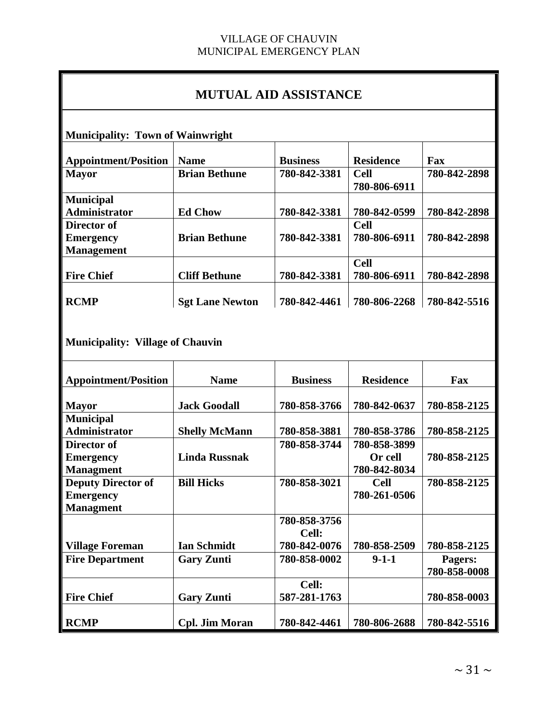# **MUTUAL AID ASSISTANCE**

**Municipality: Town of Wainwright**

| <b>Appointment/Position</b> | <b>Name</b>            | <b>Business</b> | <b>Residence</b> | Fax          |
|-----------------------------|------------------------|-----------------|------------------|--------------|
| <b>Mayor</b>                | <b>Brian Bethune</b>   | 780-842-3381    | <b>Cell</b>      | 780-842-2898 |
|                             |                        |                 | 780-806-6911     |              |
| <b>Municipal</b>            |                        |                 |                  |              |
| Administrator               | <b>Ed Chow</b>         | 780-842-3381    | 780-842-0599     | 780-842-2898 |
| Director of                 |                        |                 | <b>Cell</b>      |              |
| <b>Emergency</b>            | <b>Brian Bethune</b>   | 780-842-3381    | 780-806-6911     | 780-842-2898 |
| <b>Management</b>           |                        |                 |                  |              |
|                             |                        |                 | <b>Cell</b>      |              |
| <b>Fire Chief</b>           | <b>Cliff Bethune</b>   | 780-842-3381    | 780-806-6911     | 780-842-2898 |
|                             |                        |                 |                  |              |
| <b>RCMP</b>                 | <b>Sgt Lane Newton</b> | 780-842-4461    | 780-806-2268     | 780-842-5516 |

**Municipality: Village of Chauvin**

| <b>Appointment/Position</b> | <b>Name</b>           | <b>Business</b> | <b>Residence</b> | Fax          |
|-----------------------------|-----------------------|-----------------|------------------|--------------|
|                             |                       |                 |                  |              |
| <b>Mayor</b>                | <b>Jack Goodall</b>   | 780-858-3766    | 780-842-0637     | 780-858-2125 |
| <b>Municipal</b>            |                       |                 |                  |              |
| <b>Administrator</b>        | <b>Shelly McMann</b>  | 780-858-3881    | 780-858-3786     | 780-858-2125 |
| Director of                 |                       | 780-858-3744    | 780-858-3899     |              |
| <b>Emergency</b>            | <b>Linda Russnak</b>  |                 | Or cell          | 780-858-2125 |
| <b>Managment</b>            |                       |                 | 780-842-8034     |              |
| <b>Deputy Director of</b>   | <b>Bill Hicks</b>     | 780-858-3021    | <b>Cell</b>      | 780-858-2125 |
| <b>Emergency</b>            |                       |                 | 780-261-0506     |              |
| <b>Managment</b>            |                       |                 |                  |              |
|                             |                       | 780-858-3756    |                  |              |
|                             |                       | Cell:           |                  |              |
| <b>Village Foreman</b>      | <b>Ian Schmidt</b>    | 780-842-0076    | 780-858-2509     | 780-858-2125 |
| <b>Fire Department</b>      | <b>Gary Zunti</b>     | 780-858-0002    | $9-1-1$          | Pagers:      |
|                             |                       |                 |                  | 780-858-0008 |
|                             |                       | Cell:           |                  |              |
| <b>Fire Chief</b>           | <b>Gary Zunti</b>     | 587-281-1763    |                  | 780-858-0003 |
|                             |                       |                 |                  |              |
| <b>RCMP</b>                 | <b>Cpl. Jim Moran</b> | 780-842-4461    | 780-806-2688     | 780-842-5516 |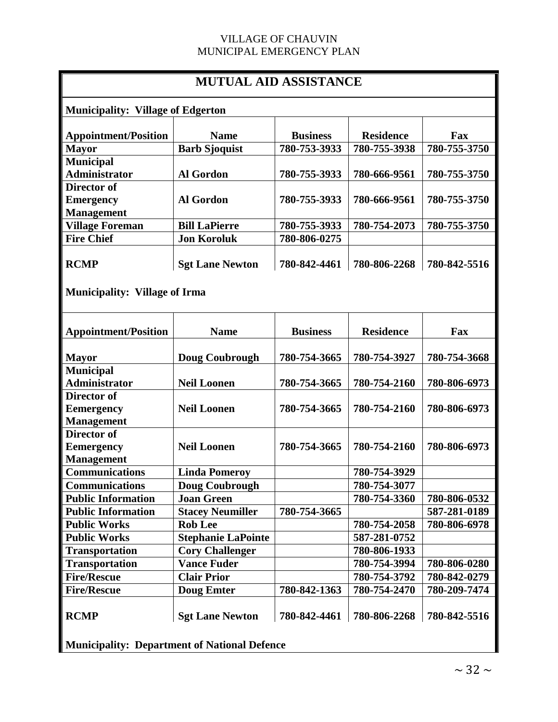| <b>MUTUAL AID ASSISTANCE</b>             |                           |                 |                  |              |  |
|------------------------------------------|---------------------------|-----------------|------------------|--------------|--|
| <b>Municipality: Village of Edgerton</b> |                           |                 |                  |              |  |
| <b>Appointment/Position</b>              | <b>Name</b>               | <b>Business</b> | <b>Residence</b> | Fax          |  |
| <b>Mayor</b>                             | <b>Barb Sjoquist</b>      | 780-753-3933    | 780-755-3938     | 780-755-3750 |  |
| <b>Municipal</b>                         |                           |                 |                  |              |  |
| <b>Administrator</b>                     | <b>Al Gordon</b>          | 780-755-3933    | 780-666-9561     | 780-755-3750 |  |
| <b>Director of</b>                       |                           |                 |                  |              |  |
| <b>Emergency</b>                         | <b>Al Gordon</b>          | 780-755-3933    | 780-666-9561     | 780-755-3750 |  |
| <b>Management</b>                        |                           |                 |                  |              |  |
| <b>Village Foreman</b>                   | <b>Bill LaPierre</b>      | 780-755-3933    | 780-754-2073     | 780-755-3750 |  |
| <b>Fire Chief</b>                        | <b>Jon Koroluk</b>        | 780-806-0275    |                  |              |  |
| <b>RCMP</b>                              | <b>Sgt Lane Newton</b>    | 780-842-4461    | 780-806-2268     | 780-842-5516 |  |
| <b>Municipality: Village of Irma</b>     |                           |                 |                  |              |  |
| <b>Appointment/Position</b>              | <b>Name</b>               | <b>Business</b> | <b>Residence</b> | Fax          |  |
| <b>Mayor</b>                             | Doug Coubrough            | 780-754-3665    | 780-754-3927     | 780-754-3668 |  |
| <b>Municipal</b>                         |                           |                 |                  |              |  |
| <b>Administrator</b>                     | <b>Neil Loonen</b>        | 780-754-3665    | 780-754-2160     | 780-806-6973 |  |
| Director of                              |                           |                 |                  |              |  |
| <b>Eemergency</b>                        | <b>Neil Loonen</b>        | 780-754-3665    | 780-754-2160     | 780-806-6973 |  |
| <b>Management</b><br>Director of         |                           |                 |                  |              |  |
| <b>Eemergency</b>                        | <b>Neil Loonen</b>        | 780-754-3665    | 780-754-2160     | 780-806-6973 |  |
| <b>Management</b>                        |                           |                 |                  |              |  |
| <b>Communications</b>                    | <b>Linda Pomeroy</b>      |                 | 780-754-3929     |              |  |
| <b>Communications</b>                    | <b>Doug Coubrough</b>     |                 | 780-754-3077     |              |  |
| <b>Public Information</b>                | <b>Joan Green</b>         |                 | 780-754-3360     | 780-806-0532 |  |
| <b>Public Information</b>                | <b>Stacey Neumiller</b>   | 780-754-3665    |                  | 587-281-0189 |  |
| <b>Public Works</b>                      | <b>Rob Lee</b>            |                 | 780-754-2058     | 780-806-6978 |  |
| <b>Public Works</b>                      | <b>Stephanie LaPointe</b> |                 | 587-281-0752     |              |  |
| <b>Transportation</b>                    | <b>Cory Challenger</b>    |                 | 780-806-1933     |              |  |
| <b>Transportation</b>                    | <b>Vance Fuder</b>        |                 | 780-754-3994     | 780-806-0280 |  |
| <b>Fire/Rescue</b>                       | <b>Clair Prior</b>        |                 | 780-754-3792     | 780-842-0279 |  |
| <b>Fire/Rescue</b>                       | <b>Doug Emter</b>         | 780-842-1363    | 780-754-2470     | 780-209-7474 |  |
| <b>RCMP</b>                              | <b>Sgt Lane Newton</b>    | 780-842-4461    | 780-806-2268     | 780-842-5516 |  |

**Municipality: Department of National Defence**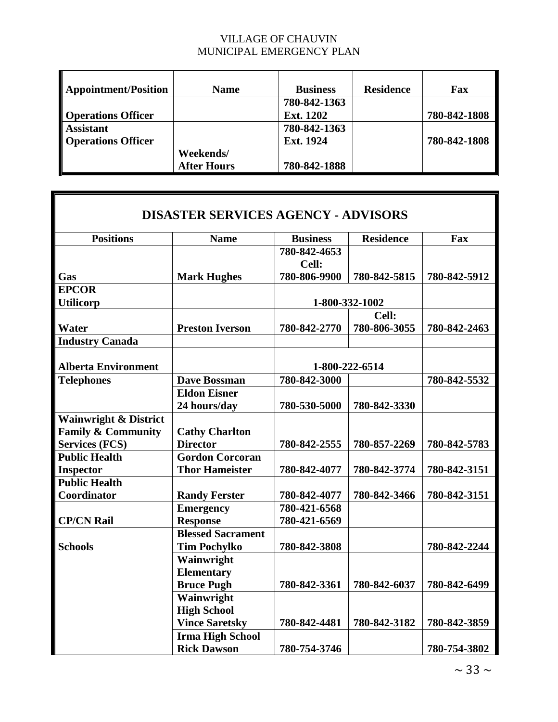| <b>Appointment/Position</b> | <b>Name</b>        | <b>Business</b> | <b>Residence</b> | Fax          |
|-----------------------------|--------------------|-----------------|------------------|--------------|
|                             |                    | 780-842-1363    |                  |              |
| <b>Operations Officer</b>   |                    | Ext. 1202       |                  | 780-842-1808 |
| <b>Assistant</b>            |                    | 780-842-1363    |                  |              |
| <b>Operations Officer</b>   |                    | Ext. 1924       |                  | 780-842-1808 |
|                             | Weekends/          |                 |                  |              |
|                             | <b>After Hours</b> | 780-842-1888    |                  |              |

 $\blacksquare$ 

| <b>DISASTER SERVICES AGENCY - ADVISORS</b> |                          |                 |                  |              |  |
|--------------------------------------------|--------------------------|-----------------|------------------|--------------|--|
| <b>Positions</b>                           | <b>Name</b>              | <b>Business</b> | <b>Residence</b> | Fax          |  |
|                                            |                          | 780-842-4653    |                  |              |  |
|                                            |                          | Cell:           |                  |              |  |
| Gas                                        | <b>Mark Hughes</b>       | 780-806-9900    | 780-842-5815     | 780-842-5912 |  |
| <b>EPCOR</b>                               |                          |                 |                  |              |  |
| <b>Utilicorp</b>                           |                          |                 | 1-800-332-1002   |              |  |
|                                            |                          |                 | Cell:            |              |  |
| <b>Water</b>                               | <b>Preston Iverson</b>   | 780-842-2770    | 780-806-3055     | 780-842-2463 |  |
| <b>Industry Canada</b>                     |                          |                 |                  |              |  |
|                                            |                          |                 |                  |              |  |
| <b>Alberta Environment</b>                 |                          |                 | 1-800-222-6514   |              |  |
| <b>Telephones</b>                          | <b>Dave Bossman</b>      | 780-842-3000    |                  | 780-842-5532 |  |
|                                            | <b>Eldon Eisner</b>      |                 |                  |              |  |
|                                            | 24 hours/day             | 780-530-5000    | 780-842-3330     |              |  |
| <b>Wainwright &amp; District</b>           |                          |                 |                  |              |  |
| <b>Family &amp; Community</b>              | <b>Cathy Charlton</b>    |                 |                  |              |  |
| <b>Services (FCS)</b>                      | <b>Director</b>          | 780-842-2555    | 780-857-2269     | 780-842-5783 |  |
| <b>Public Health</b>                       | <b>Gordon Corcoran</b>   |                 |                  |              |  |
| <b>Inspector</b>                           | <b>Thor Hameister</b>    | 780-842-4077    | 780-842-3774     | 780-842-3151 |  |
| <b>Public Health</b>                       |                          |                 |                  |              |  |
| Coordinator                                | <b>Randy Ferster</b>     | 780-842-4077    | 780-842-3466     | 780-842-3151 |  |
|                                            | <b>Emergency</b>         | 780-421-6568    |                  |              |  |
| <b>CP/CN Rail</b>                          | <b>Response</b>          | 780-421-6569    |                  |              |  |
|                                            | <b>Blessed Sacrament</b> |                 |                  |              |  |
| <b>Schools</b>                             | <b>Tim Pochylko</b>      | 780-842-3808    |                  | 780-842-2244 |  |
|                                            | Wainwright               |                 |                  |              |  |
|                                            | <b>Elementary</b>        |                 |                  |              |  |
|                                            | <b>Bruce Pugh</b>        | 780-842-3361    | 780-842-6037     | 780-842-6499 |  |
|                                            | Wainwright               |                 |                  |              |  |
|                                            | <b>High School</b>       |                 |                  |              |  |
|                                            | <b>Vince Saretsky</b>    | 780-842-4481    | 780-842-3182     | 780-842-3859 |  |
|                                            | <b>Irma High School</b>  |                 |                  |              |  |
|                                            | <b>Rick Dawson</b>       | 780-754-3746    |                  | 780-754-3802 |  |

 $\sim$  33  $\sim$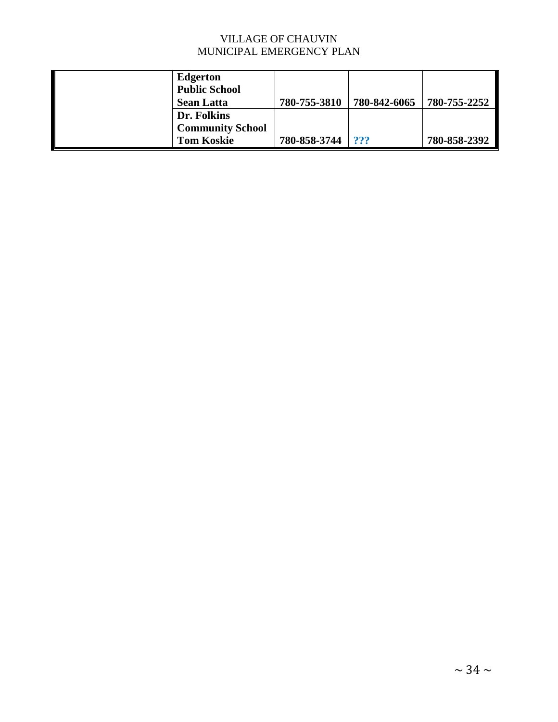| <b>Edgerton</b><br><b>Public School</b> |              |              |              |
|-----------------------------------------|--------------|--------------|--------------|
| <b>Sean Latta</b>                       | 780-755-3810 | 780-842-6065 | 780-755-2252 |
| Dr. Folkins                             |              |              |              |
| <b>Community School</b>                 |              |              |              |
| <b>Tom Koskie</b>                       | 780-858-3744 | ???          | 780-858-2392 |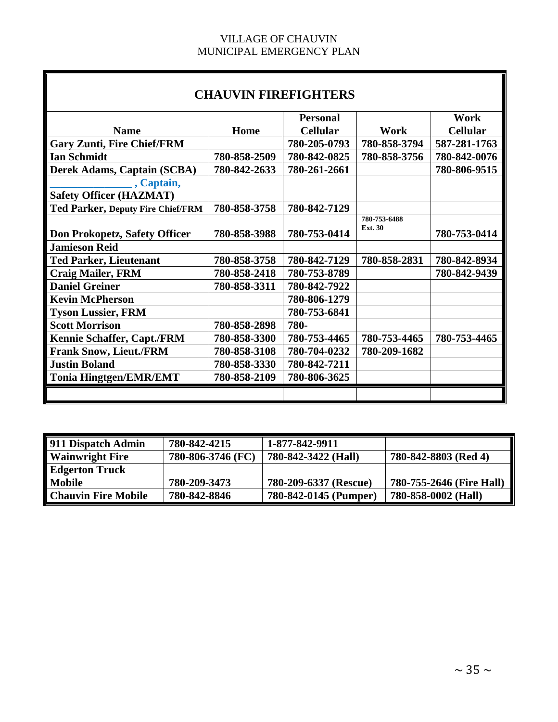Б

| <b>CHAUVIN FIREFIGHTERS</b>              |              |                 |                                |                 |  |
|------------------------------------------|--------------|-----------------|--------------------------------|-----------------|--|
|                                          |              | <b>Personal</b> |                                | Work            |  |
| <b>Name</b>                              | Home         | <b>Cellular</b> | Work                           | <b>Cellular</b> |  |
| <b>Gary Zunti, Fire Chief/FRM</b>        |              | 780-205-0793    | 780-858-3794                   | 587-281-1763    |  |
| <b>Ian Schmidt</b>                       | 780-858-2509 | 780-842-0825    | 780-858-3756                   | 780-842-0076    |  |
| <b>Derek Adams, Captain (SCBA)</b>       | 780-842-2633 | 780-261-2661    |                                | 780-806-9515    |  |
| $\alpha$ , Captain,                      |              |                 |                                |                 |  |
| <b>Safety Officer (HAZMAT)</b>           |              |                 |                                |                 |  |
| <b>Ted Parker, Deputy Fire Chief/FRM</b> | 780-858-3758 | 780-842-7129    |                                |                 |  |
| Don Prokopetz, Safety Officer            | 780-858-3988 | 780-753-0414    | 780-753-6488<br><b>Ext. 30</b> | 780-753-0414    |  |
| <b>Jamieson Reid</b>                     |              |                 |                                |                 |  |
| <b>Ted Parker, Lieutenant</b>            | 780-858-3758 | 780-842-7129    | 780-858-2831                   | 780-842-8934    |  |
| <b>Craig Mailer, FRM</b>                 | 780-858-2418 | 780-753-8789    |                                | 780-842-9439    |  |
| <b>Daniel Greiner</b>                    | 780-858-3311 | 780-842-7922    |                                |                 |  |
| <b>Kevin McPherson</b>                   |              | 780-806-1279    |                                |                 |  |
| <b>Tyson Lussier, FRM</b>                |              | 780-753-6841    |                                |                 |  |
| <b>Scott Morrison</b>                    | 780-858-2898 | 780-            |                                |                 |  |
| Kennie Schaffer, Capt./FRM               | 780-858-3300 | 780-753-4465    | 780-753-4465                   | 780-753-4465    |  |
| <b>Frank Snow, Lieut./FRM</b>            | 780-858-3108 | 780-704-0232    | 780-209-1682                   |                 |  |
| <b>Justin Boland</b>                     | 780-858-3330 | 780-842-7211    |                                |                 |  |
| <b>Tonia Hingtgen/EMR/EMT</b>            | 780-858-2109 | 780-806-3625    |                                |                 |  |
|                                          |              |                 |                                |                 |  |

| 911 Dispatch Admin         | 780-842-4215      | 1-877-842-9911        |                          |
|----------------------------|-------------------|-----------------------|--------------------------|
| <b>Wainwright Fire</b>     | 780-806-3746 (FC) | 780-842-3422 (Hall)   | 780-842-8803 (Red 4)     |
| <b>Edgerton Truck</b>      |                   |                       |                          |
| <b>Mobile</b>              | 780-209-3473      | 780-209-6337 (Rescue) | 780-755-2646 (Fire Hall) |
| <b>Chauvin Fire Mobile</b> | 780-842-8846      | 780-842-0145 (Pumper) | 780-858-0002 (Hall)      |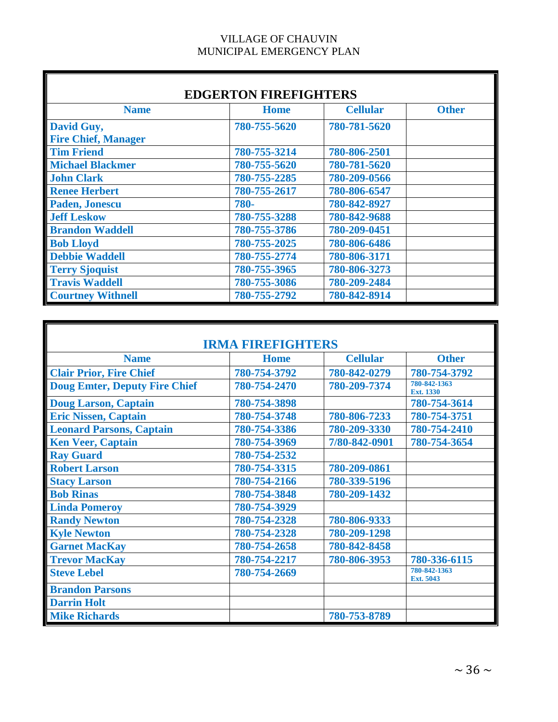| <b>EDGERTON FIREFIGHTERS</b> |              |                 |              |  |  |
|------------------------------|--------------|-----------------|--------------|--|--|
| <b>Name</b>                  | <b>Home</b>  | <b>Cellular</b> | <b>Other</b> |  |  |
| David Guy,                   | 780-755-5620 | 780-781-5620    |              |  |  |
| <b>Fire Chief, Manager</b>   |              |                 |              |  |  |
| <b>Tim Friend</b>            | 780-755-3214 | 780-806-2501    |              |  |  |
| <b>Michael Blackmer</b>      | 780-755-5620 | 780-781-5620    |              |  |  |
| <b>John Clark</b>            | 780-755-2285 | 780-209-0566    |              |  |  |
| <b>Renee Herbert</b>         | 780-755-2617 | 780-806-6547    |              |  |  |
| Paden, Jonescu               | 780-         | 780-842-8927    |              |  |  |
| <b>Jeff Leskow</b>           | 780-755-3288 | 780-842-9688    |              |  |  |
| <b>Brandon Waddell</b>       | 780-755-3786 | 780-209-0451    |              |  |  |
| <b>Bob Lloyd</b>             | 780-755-2025 | 780-806-6486    |              |  |  |
| <b>Debbie Waddell</b>        | 780-755-2774 | 780-806-3171    |              |  |  |
| <b>Terry Sjoquist</b>        | 780-755-3965 | 780-806-3273    |              |  |  |
| <b>Travis Waddell</b>        | 780-755-3086 | 780-209-2484    |              |  |  |
| <b>Courtney Withnell</b>     | 780-755-2792 | 780-842-8914    |              |  |  |

| <b>IRMA FIREFIGHTERS</b>             |              |                 |                           |  |  |
|--------------------------------------|--------------|-----------------|---------------------------|--|--|
| <b>Name</b>                          | <b>Home</b>  | <b>Cellular</b> | <b>Other</b>              |  |  |
| <b>Clair Prior, Fire Chief</b>       | 780-754-3792 | 780-842-0279    | 780-754-3792              |  |  |
| <b>Doug Emter, Deputy Fire Chief</b> | 780-754-2470 | 780-209-7374    | 780-842-1363<br>Ext. 1330 |  |  |
| <b>Doug Larson, Captain</b>          | 780-754-3898 |                 | 780-754-3614              |  |  |
| <b>Eric Nissen, Captain</b>          | 780-754-3748 | 780-806-7233    | 780-754-3751              |  |  |
| <b>Leonard Parsons, Captain</b>      | 780-754-3386 | 780-209-3330    | 780-754-2410              |  |  |
| <b>Ken Veer, Captain</b>             | 780-754-3969 | 7/80-842-0901   | 780-754-3654              |  |  |
| <b>Ray Guard</b>                     | 780-754-2532 |                 |                           |  |  |
| <b>Robert Larson</b>                 | 780-754-3315 | 780-209-0861    |                           |  |  |
| <b>Stacy Larson</b>                  | 780-754-2166 | 780-339-5196    |                           |  |  |
| <b>Bob Rinas</b>                     | 780-754-3848 | 780-209-1432    |                           |  |  |
| <b>Linda Pomeroy</b>                 | 780-754-3929 |                 |                           |  |  |
| <b>Randy Newton</b>                  | 780-754-2328 | 780-806-9333    |                           |  |  |
| <b>Kyle Newton</b>                   | 780-754-2328 | 780-209-1298    |                           |  |  |
| <b>Garnet MacKay</b>                 | 780-754-2658 | 780-842-8458    |                           |  |  |
| <b>Trevor MacKay</b>                 | 780-754-2217 | 780-806-3953    | 780-336-6115              |  |  |
| <b>Steve Lebel</b>                   | 780-754-2669 |                 | 780-842-1363<br>Ext. 5043 |  |  |
| <b>Brandon Parsons</b>               |              |                 |                           |  |  |
| <b>Darrin Holt</b>                   |              |                 |                           |  |  |
| <b>Mike Richards</b>                 |              | 780-753-8789    |                           |  |  |